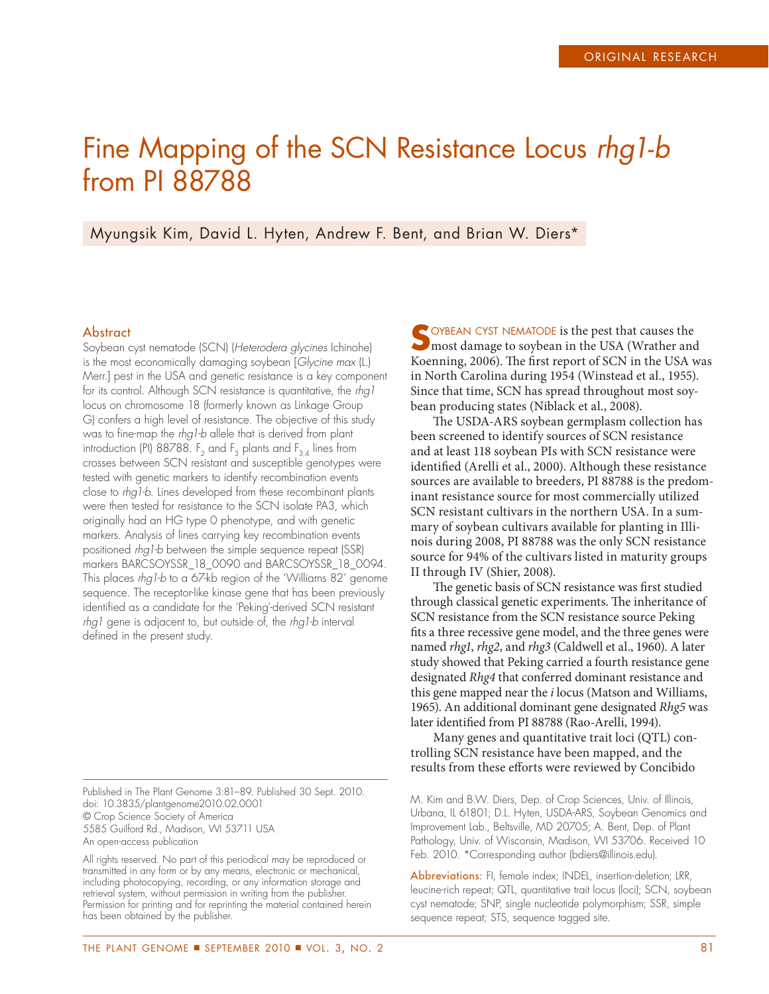# Fine Mapping of the SCN Resistance Locus rhg1-b from PI 88788

Myungsik Kim, David L. Hyten, Andrew F. Bent, and Brian W. Diers\*

#### **Abstract**

Soybean cyst nematode (SCN) (Heterodera glycines Ichinohe) is the most economically damaging soybean [Glycine max (L.) Merr.] pest in the USA and genetic resistance is a key component for its control. Although SCN resistance is quantitative, the rhal locus on chromosome 18 (formerly known as Linkage Group G) confers a high level of resistance. The objective of this study was to fine-map the rhg1-b allele that is derived from plant introduction (PI) 88788.  $F_2$  and  $F_3$  plants and  $F_{3:4}$  lines from crosses between SCN resistant and susceptible genotypes were tested with genetic markers to identify recombination events close to rhg1-b. Lines developed from these recombinant plants were then tested for resistance to the SCN isolate PA3, which originally had an HG type 0 phenotype, and with genetic markers. Analysis of lines carrying key recombination events positioned rhg1-b between the simple sequence repeat (SSR) markers BARCSOYSSR\_18\_0090 and BARCSOYSSR\_18\_0094. This places rhg1-b to a 67-kb region of the 'Williams 82' genome sequence. The receptor-like kinase gene that has been previously identified as a candidate for the 'Peking'-derived SCN resistant rhg1 gene is adjacent to, but outside of, the rhg1-b interval defined in the present study.

Published in The Plant Genome 3:81–89. Published 30 Sept. 2010. doi: 10.3835/plantgenome2010.02.0001 © Crop Science Society of America 5585 Guilford Rd., Madison, WI 53711 USA An open-access publication

All rights reserved. No part of this periodical may be reproduced or transmitted in any form or by any means, electronic or mechanical, including photocopying, recording, or any information storage and retrieval system, without permission in writing from the publisher. Permission for printing and for reprinting the material contained herein has been obtained by the publisher.

SOYBEAN CYST NEMATODE is the pest that causes the most damage to soybean in the USA (Wrather and Koenning, 2006). The first report of SCN in the USA was in North Carolina during 1954 (Winstead et al., 1955). Since that time, SCN has spread throughout most soybean producing states (Niblack et al., 2008).

The USDA-ARS soybean germplasm collection has been screened to identify sources of SCN resistance and at least 118 soybean PIs with SCN resistance were identified (Arelli et al., 2000). Although these resistance sources are available to breeders, PI 88788 is the predominant resistance source for most commercially utilized SCN resistant cultivars in the northern USA. In a summary of soybean cultivars available for planting in Illinois during 2008, PI 88788 was the only SCN resistance source for 94% of the cultivars listed in maturity groups II through IV (Shier, 2008).

The genetic basis of SCN resistance was first studied through classical genetic experiments. The inheritance of SCN resistance from the SCN resistance source Peking fits a three recessive gene model, and the three genes were named *rhg1*, *rhg2*, and *rhg3* (Caldwell et al., 1960). A later study showed that Peking carried a fourth resistance gene designated *Rhg4* that conferred dominant resistance and this gene mapped near the *i* locus (Matson and Williams, 1965). An additional dominant gene designated *Rhg5* was later identified from PI 88788 (Rao-Arelli, 1994).

Many genes and quantitative trait loci (QTL) controlling SCN resistance have been mapped, and the results from these efforts were reviewed by Concibido

M. Kim and B.W. Diers, Dep. of Crop Sciences, Univ. of Illinois, Urbana, IL 61801; D.L. Hyten, USDA-ARS, Soybean Genomics and Improvement Lab., Beltsville, MD 20705; A. Bent, Dep. of Plant Pathology, Univ. of Wisconsin, Madison, WI 53706. Received 10 Feb. 2010. \*Corresponding author (bdiers@illinois.edu).

Abbreviations: FI, female index; INDEL, insertion-deletion; LRR, leucine-rich repeat; QTL, quantitative trait locus (loci); SCN, soybean cyst nematode; SNP, single nucleotide polymorphism; SSR, simple sequence repeat; STS, sequence tagged site.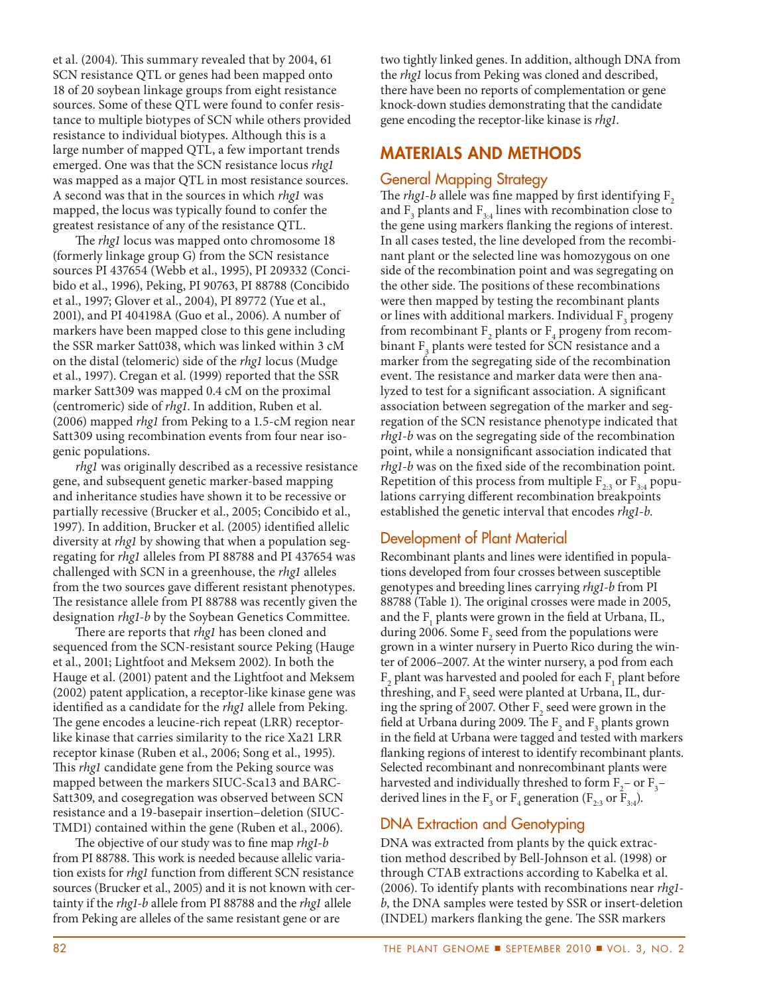et al. (2004). This summary revealed that by 2004, 61 SCN resistance QTL or genes had been mapped onto 18 of 20 soybean linkage groups from eight resistance sources. Some of these QTL were found to confer resistance to multiple biotypes of SCN while others provided resistance to individual biotypes. Although this is a large number of mapped QTL, a few important trends emerged. One was that the SCN resistance locus *rhg1* was mapped as a major QTL in most resistance sources. A second was that in the sources in which *rhg1* was mapped, the locus was typically found to confer the greatest resistance of any of the resistance QTL.

The *rhg1* locus was mapped onto chromosome 18 (formerly linkage group G) from the SCN resistance sources PI 437654 (Webb et al., 1995), PI 209332 (Concibido et al., 1996), Peking, PI 90763, PI 88788 (Concibido et al., 1997; Glover et al., 2004), PI 89772 (Yue et al., 2001), and PI 404198A (Guo et al., 2006). A number of markers have been mapped close to this gene including the SSR marker Satt038, which was linked within 3 cM on the distal (telomeric) side of the *rhg1* locus (Mudge et al., 1997). Cregan et al. (1999) reported that the SSR marker Satt309 was mapped 0.4 cM on the proximal (centromeric) side of *rhg1*. In addition, Ruben et al. (2006) mapped *rhg1* from Peking to a 1.5-cM region near Satt309 using recombination events from four near isogenic populations.

*rhg1* was originally described as a recessive resistance gene, and subsequent genetic marker-based mapping and inheritance studies have shown it to be recessive or partially recessive (Brucker et al., 2005; Concibido et al., 1997). In addition, Brucker et al. (2005) identified allelic diversity at *rhg1* by showing that when a population segregating for *rhg1* alleles from PI 88788 and PI 437654 was challenged with SCN in a greenhouse, the *rhg1* alleles from the two sources gave different resistant phenotypes. The resistance allele from PI 88788 was recently given the designation *rhg1-b* by the Soybean Genetics Committee.

There are reports that *rhg1* has been cloned and sequenced from the SCN-resistant source Peking (Hauge et al., 2001; Lightfoot and Meksem 2002). In both the Hauge et al. (2001) patent and the Lightfoot and Meksem (2002) patent application, a receptor-like kinase gene was identified as a candidate for the *rhg1* allele from Peking. The gene encodes a leucine-rich repeat (LRR) receptorlike kinase that carries similarity to the rice Xa21 LRR receptor kinase (Ruben et al., 2006; Song et al., 1995). This *rhg1* candidate gene from the Peking source was mapped between the markers SIUC-Sca13 and BARC-Satt309, and cosegregation was observed between SCN resistance and a 19-basepair insertion–deletion (SIUC-TMD1) contained within the gene (Ruben et al., 2006).

The objective of our study was to fine map *rhg1-b* from PI 88788. This work is needed because allelic variation exists for *rhg1* function from different SCN resistance sources (Brucker et al., 2005) and it is not known with certainty if the *rhg1-b* allele from PI 88788 and the *rhg1* allele from Peking are alleles of the same resistant gene or are

two tightly linked genes. In addition, although DNA from the *rhg1* locus from Peking was cloned and described, there have been no reports of complementation or gene knock-down studies demonstrating that the candidate gene encoding the receptor-like kinase is *rhg1*.

## **MATERIALS AND METHODS**

## General Mapping Strategy

The *rhg1-b* allele was fine mapped by first identifying F<sub>2</sub> and  $\mathrm{F}_3$  plants and  $\mathrm{F}_{3:4}$  lines with recombination close to the gene using markers flanking the regions of interest. In all cases tested, the line developed from the recombinant plant or the selected line was homozygous on one side of the recombination point and was segregating on the other side. The positions of these recombinations were then mapped by testing the recombinant plants or lines with additional markers. Individual  $\mathrm{F}_3$  progeny from recombinant  $F_2$  plants or  $F_4$  progeny from recombinant  $\mathrm{F}_\mathrm{3}$  plants were tested for SCN resistance and a marker from the segregating side of the recombination event. The resistance and marker data were then analyzed to test for a significant association. A significant association between segregation of the marker and segregation of the SCN resistance phenotype indicated that *rhg1-b* was on the segregating side of the recombination point, while a nonsignificant association indicated that *rhg1-b* was on the fixed side of the recombination point. Repetition of this process from multiple  $F_{2:3}$  or  $F_{3:4}$  populations carrying different recombination breakpoints established the genetic interval that encodes *rhg1-b*.

# Development of Plant Material

Recombinant plants and lines were identified in populations developed from four crosses between susceptible genotypes and breeding lines carrying *rhg1-b* from PI 88788 (Table 1). The original crosses were made in 2005, and the  $F_1$  plants were grown in the field at Urbana, IL, during 2006. Some  $\mathrm{F}_\mathrm{2}$  seed from the populations were grown in a winter nursery in Puerto Rico during the winter of 2006–2007. At the winter nursery, a pod from each  $\rm F_2$  plant was harvested and pooled for each  $\rm F_1$  plant before threshing, and  $F_3$  seed were planted at Urbana, IL, during the spring of 2007. Other  $F_2$  seed were grown in the field at Urbana during 2009. The  $\mathrm{F}_2$  and  $\mathrm{F}_3$  plants grown in the field at Urbana were tagged and tested with markers flanking regions of interest to identify recombinant plants. Selected recombinant and nonrecombinant plants were harvested and individually threshed to form  $F_2$ – or  $F_3$ – derived lines in the  $\text{F}_3$  or  $\text{F}_4$  generation ( $\text{F}_{2:3}$  or  $\text{F}_{3:4}$ ).

# DNA Extraction and Genotyping

DNA was extracted from plants by the quick extraction method described by Bell-Johnson et al. (1998) or through CTAB extractions according to Kabelka et al. (2006). To identify plants with recombinations near *rhg1 b*, the DNA samples were tested by SSR or insert-deletion (INDEL) markers flanking the gene. The SSR markers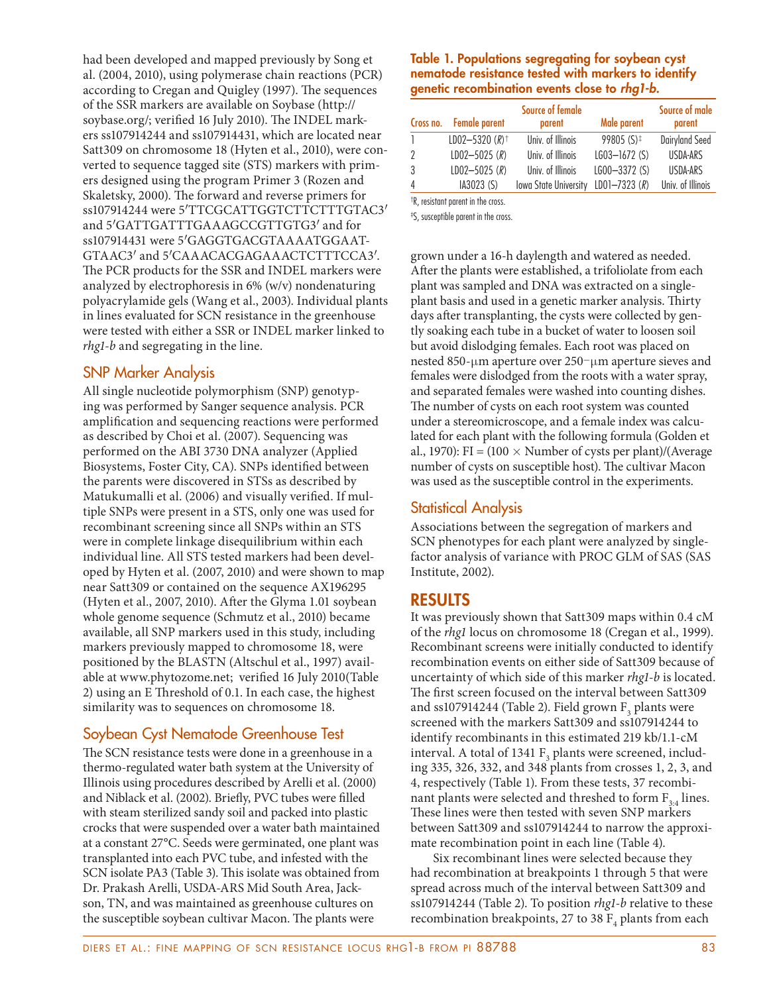had been developed and mapped previously by Song et al. (2004, 2010), using polymerase chain reactions (PCR) according to Cregan and Quigley (1997). The sequences of the SSR markers are available on Soybase (http:// soybase.org/; verified 16 July 2010). The INDEL markers ss107914244 and ss107914431, which are located near Satt309 on chromosome 18 (Hyten et al., 2010), were converted to sequence tagged site (STS) markers with primers designed using the program Primer 3 (Rozen and Skaletsky, 2000). The forward and reverse primers for ss107914244 were 5'TTCGCATTGGTCTTCTTTGTAC3' and 5′GATTGATTTGAAAGCCGTTGTG3′ and for ss107914431 were 5′GAGGTGACGTAAAATGGAAT-GTAAC3′ and 5′CAAACACGAGAAACTCTTTCCA3′. The PCR products for the SSR and INDEL markers were analyzed by electrophoresis in 6% (w/v) nondenaturing polyacrylamide gels (Wang et al., 2003). Individual plants in lines evaluated for SCN resistance in the greenhouse were tested with either a SSR or INDEL marker linked to *rhg1-b* and segregating in the line.

## SNP Marker Analysis

All single nucleotide polymorphism (SNP) genotyping was performed by Sanger sequence analysis. PCR amplification and sequencing reactions were performed as described by Choi et al. (2007). Sequencing was performed on the ABI 3730 DNA analyzer (Applied Biosystems, Foster City, CA). SNPs identified between the parents were discovered in STSs as described by Matukumalli et al. (2006) and visually verified. If multiple SNPs were present in a STS, only one was used for recombinant screening since all SNPs within an STS were in complete linkage disequilibrium within each individual line. All STS tested markers had been developed by Hyten et al. (2007, 2010) and were shown to map near Satt309 or contained on the sequence AX196295 (Hyten et al., 2007, 2010). After the Glyma  $1.01$  soybean whole genome sequence (Schmutz et al., 2010) became available, all SNP markers used in this study, including markers previously mapped to chromosome 18, were positioned by the BLASTN (Altschul et al., 1997) available at www.phytozome.net; verified 16 July 2010(Table 2) using an E Threshold of 0.1. In each case, the highest similarity was to sequences on chromosome 18.

# Soybean Cyst Nematode Greenhouse Test

The SCN resistance tests were done in a greenhouse in a thermo-regulated water bath system at the University of Illinois using procedures described by Arelli et al. (2000) and Niblack et al. (2002). Briefly, PVC tubes were filled with steam sterilized sandy soil and packed into plastic crocks that were suspended over a water bath maintained at a constant 27°C. Seeds were germinated, one plant was transplanted into each PVC tube, and infested with the SCN isolate PA3 (Table 3). This isolate was obtained from Dr. Prakash Arelli, USDA-ARS Mid South Area, Jackson, TN, and was maintained as greenhouse cultures on the susceptible soybean cultivar Macon. The plants were

#### **Table 1. Populations segregating for soybean cyst nematode resistance tested with markers to identify genetic recombination events close to** *rhg1-b***.**

|   | Cross no. Female parent      | Source of female<br>parent   | Male parent            | Source of male<br>parent |
|---|------------------------------|------------------------------|------------------------|--------------------------|
|   | LD02-5320 $(R)$ <sup>+</sup> | Univ. of Illinois            | 99805 $(S)^{\ddagger}$ | <b>Dairyland Seed</b>    |
| 2 | $LD02 - 5025 (R)$            | Univ. of Illinois            | $L603 - 1672$ (S)      | USDA-ARS                 |
| 3 | $LD02 - 5025 (R)$            | Univ. of Illinois            | $LGO0 - 3372(S)$       | USDA-ARS                 |
| 4 | IA3023 (S)                   | <b>Iowa State University</b> | $LD01 - 7323 (R)$      | Univ. of Illinois        |

† R, resistant parent in the cross.

‡ S, susceptible parent in the cross.

grown under a 16-h daylength and watered as needed. After the plants were established, a trifoliolate from each plant was sampled and DNA was extracted on a singleplant basis and used in a genetic marker analysis. Thirty days after transplanting, the cysts were collected by gently soaking each tube in a bucket of water to loosen soil but avoid dislodging females. Each root was placed on nested 850-μm aperture over  $250$ -μm aperture sieves and females were dislodged from the roots with a water spray, and separated females were washed into counting dishes. The number of cysts on each root system was counted under a stereomicroscope, and a female index was calculated for each plant with the following formula (Golden et al., 1970): FI = (100  $\times$  Number of cysts per plant)/(Average number of cysts on susceptible host). The cultivar Macon was used as the susceptible control in the experiments.

## Statistical Analysis

Associations between the segregation of markers and SCN phenotypes for each plant were analyzed by singlefactor analysis of variance with PROC GLM of SAS (SAS Institute, 2002).

## **RESULTS**

It was previously shown that Satt309 maps within 0.4 cM of the *rhg1* locus on chromosome 18 (Cregan et al., 1999). Recombinant screens were initially conducted to identify recombination events on either side of Satt309 because of uncertainty of which side of this marker *rhg1-b* is located. The first screen focused on the interval between Satt309 and ss107914244 (Table 2). Field grown  $\mathrm{F}_\mathrm{3}$  plants were screened with the markers Satt309 and ss107914244 to identify recombinants in this estimated 219 kb/1.1-cM interval. A total of 1341  $\text{F}_{\text{3}}$  plants were screened, including 335, 326, 332, and 348 plants from crosses 1, 2, 3, and 4, respectively (Table 1). From these tests, 37 recombinant plants were selected and threshed to form  $F_{3:4}$  lines. These lines were then tested with seven SNP markers between Satt309 and ss107914244 to narrow the approximate recombination point in each line (Table 4).

Six recombinant lines were selected because they had recombination at breakpoints 1 through 5 that were spread across much of the interval between Satt309 and ss107914244 (Table 2). To position *rhg1-b* relative to these recombination breakpoints, 27 to 38  $\mathrm{F}_4$  plants from each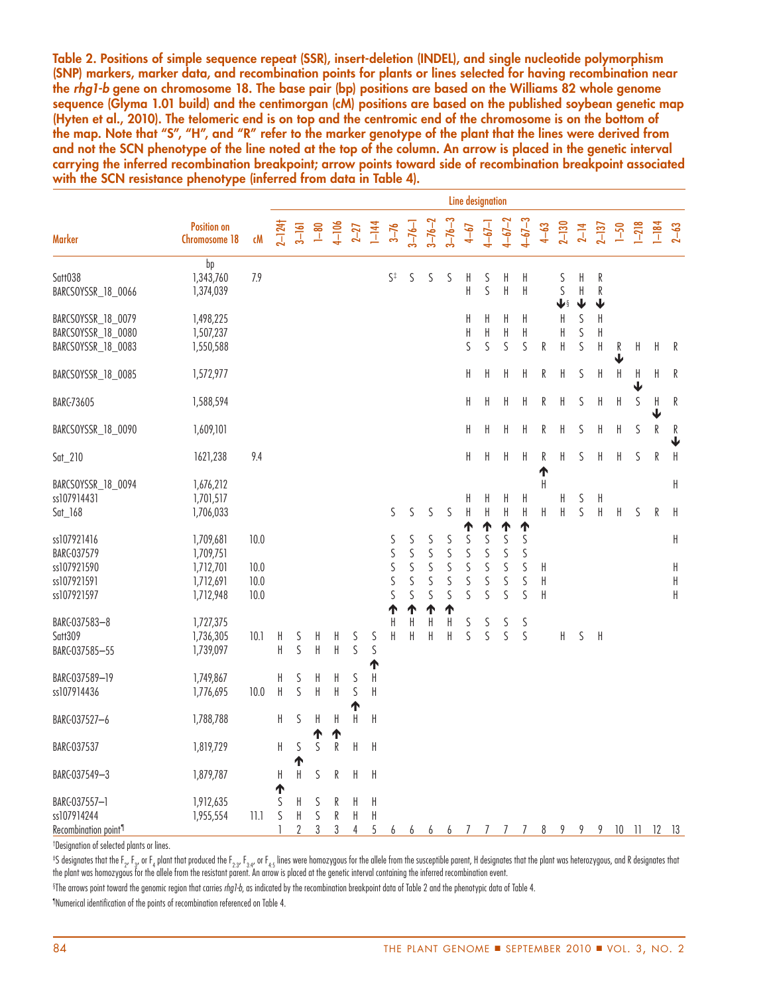**Table 2. Positions of simple sequence repeat (SSR), insert-deletion (INDEL), and single nucleotide polymorphism (SNP) markers, marker data, and recombination points for plants or lines selected for having recombination near the** *rhg1-b* **gene on chromosome 18. The base pair (bp) positions are based on the Williams 82 whole genome sequence (Glyma 1.01 build) and the centimorgan (cM) positions are based on the published soybean genetic map (Hyten et al., 2010). The telomeric end is on top and the centromic end of the chromosome is on the bottom of the map. Note that "S", "H", and "R" refer to the marker genotype of the plant that the lines were derived from and not the SCN phenotype of the line noted at the top of the column. An arrow is placed in the genetic interval carrying the inferred recombination breakpoint; arrow points toward side of recombination breakpoint associated with the SCN resistance phenotype (inferred from data in Table 4).**

|                                                                         |                                                               |                              | <b>Line designation</b> |             |                      |                |                            |                   |                       |                       |                                 |                             |                                      |                                                |                                                          |                            |                                         |                           |                       |                             |              |             |                   |                              |
|-------------------------------------------------------------------------|---------------------------------------------------------------|------------------------------|-------------------------|-------------|----------------------|----------------|----------------------------|-------------------|-----------------------|-----------------------|---------------------------------|-----------------------------|--------------------------------------|------------------------------------------------|----------------------------------------------------------|----------------------------|-----------------------------------------|---------------------------|-----------------------|-----------------------------|--------------|-------------|-------------------|------------------------------|
| Marker                                                                  | <b>Position on</b><br>Chromosome 18                           | сM                           | $2 - 124$               |             | $3 - 161$<br>1 $-80$ |                | $4 - 106$<br>2-27          | $1 - 144$         | $3 - 76$              | $3 - 76 - 1$          | $3 - 76 - 2$                    | $3 - 76 - 3$                | $4 - 67$                             | $4 - 6 - 1$                                    | $4 - 67 - 2$                                             | $4 - 67 - 3$               | $4 - 63$                                | $2 - 130$                 |                       | $2-14$<br>$2-137$<br>$1-50$ |              | $1 - 218$   | $1 - 184$<br>2-63 |                              |
| Satt038<br>BARCSOYSSR_18_0066                                           | bp<br>1,343,760<br>1,374,039                                  | 7.9                          |                         |             |                      |                |                            |                   | S‡                    | S                     | S                               | S                           | Н<br>H                               | S<br>S                                         | H<br>$\mathsf H$                                         | H<br>H                     |                                         | S<br>S<br>$\blacklozenge$ | H<br>$\mathsf H$<br>↓ | R<br>R<br>↓                 |              |             |                   |                              |
| BARCSOYSSR_18_0079<br>BARCSOYSSR_18_0080<br>BARCSOYSSR_18_0083          | 1,498,225<br>1,507,237<br>1,550,588                           |                              |                         |             |                      |                |                            |                   |                       |                       |                                 |                             | Η<br>H<br>S                          | H<br>$\boldsymbol{\mathsf{H}}$<br>S            | H<br>$\sf H$<br>S                                        | H<br>H<br>S                | R                                       | H<br>H<br>H               | S<br>S<br>S           | H<br>H<br>H                 | R<br>T       | H           | Η                 | R                            |
| BARCSOYSSR_18_0085                                                      | 1,572,977                                                     |                              |                         |             |                      |                |                            |                   |                       |                       |                                 |                             | H                                    | H                                              | Н                                                        | H                          | R                                       | H                         | S                     | H                           | H            | H<br>↓      | Н                 | R                            |
| <b>BARC-73605</b>                                                       | 1,588,594                                                     |                              |                         |             |                      |                |                            |                   |                       |                       |                                 |                             | H                                    | $\mathsf H$                                    | H                                                        | H                          | R                                       | Η                         | S                     | H                           | $\sf H$      | $\mathsf S$ | H                 | R                            |
| BARCSOYSSR_18_0090                                                      | 1,609,101                                                     |                              |                         |             |                      |                |                            |                   |                       |                       |                                 |                             | H                                    | H                                              | Н                                                        | Н                          | R                                       | H                         | S                     | H                           | H            | S           | R                 | R<br>$\overline{\mathbf{V}}$ |
| $Sat_210$                                                               | 1621,238                                                      | 9.4                          |                         |             |                      |                |                            |                   |                       |                       |                                 |                             | Η                                    | $\sf H$                                        | H                                                        | $\mathsf H$                | R<br>ተ                                  | H                         | S                     | Η                           | H            | $\mathsf S$ | R                 | $\,$ H                       |
| BARCSOYSSR_18_0094<br>ss107914431<br>$Sat_168$                          | 1,676,212<br>1,701,517<br>1,706,033                           |                              |                         |             |                      |                |                            |                   | S                     | S                     | S                               | S                           | H<br>$\mathsf{H}$                    | H<br>$\mathsf H$                               | H<br>$\mathsf H$                                         | H<br>H                     | H<br>H                                  | H<br>H                    | S<br>S                | H<br>$\sf H$                | $\mathsf{H}$ | S           | R                 | $\mathsf{H}$<br>$\mathsf H$  |
| ss107921416<br>BARG-037579<br>ss107921590<br>ss107921591<br>ss107921597 | 1,709,681<br>1,709,751<br>1,712,701<br>1,712,691<br>1,712,948 | 10.0<br>10.0<br>10.0<br>10.0 |                         |             |                      |                |                            |                   | ς<br>S<br>S<br>S<br>S | S<br>S<br>S<br>S<br>S | ς<br>S<br>S<br>$\mathsf S$<br>ς | S<br>S<br>S<br>$\sf S$<br>S | ተ<br>ς<br>S<br>$\mathsf S$<br>S<br>S | ሳ<br>S<br>S<br>$\mathsf S$<br>$\mathsf S$<br>S | ↑<br>$\mathsf S$<br>S<br>$\mathsf S$<br>$\mathsf S$<br>S | ↑<br>S<br>S<br>S<br>S<br>S | H<br>$\sf H$<br>$\overline{\mathsf{H}}$ |                           |                       |                             |              |             |                   | Η<br>$\sf H$<br>$\sf H$<br>Η |
| BARC-037583-8<br>Satt309<br>BARC-037585-55                              | 1,727,375<br>1,736,305<br>1,739,097                           | 10.1                         | H<br>H                  | S<br>S      | H<br>$\mathsf H$     | H<br>H         | S<br>S                     | S<br>S            | ↑<br>H<br>H           | ተ<br>H<br>Η           | ↑<br>H<br>Η                     | ↑<br>H<br>H                 | S<br>S                               | S<br>S                                         | $\mathsf S$<br>S                                         | S<br>$\sf S$               |                                         | H                         | S                     | H                           |              |             |                   |                              |
| BARC-037589-19<br>ss107914436                                           | 1,749,867<br>1,776,695                                        | 10.0                         | H<br>$\sf H$            | S<br>S      | H<br>$\mathsf H$     | H<br>H         | $\mathsf S$<br>$\mathsf S$ | ተ<br>Η<br>H       |                       |                       |                                 |                             |                                      |                                                |                                                          |                            |                                         |                           |                       |                             |              |             |                   |                              |
| BARC-037527-6                                                           | 1,788,788                                                     |                              | H                       | S           | $\mathsf{H}$         | H              | ↑<br>$\mathsf{H}$          | $\sf H$           |                       |                       |                                 |                             |                                      |                                                |                                                          |                            |                                         |                           |                       |                             |              |             |                   |                              |
| BARC-037537                                                             | 1,819,729                                                     |                              | H                       | S<br>↑      | Т<br>S               | ተ<br>${\sf R}$ | $\mathsf H$                | H                 |                       |                       |                                 |                             |                                      |                                                |                                                          |                            |                                         |                           |                       |                             |              |             |                   |                              |
| BARG-037549-3                                                           | 1,879,787                                                     |                              | H<br>↑                  | H           | S                    | R              | H                          | H                 |                       |                       |                                 |                             |                                      |                                                |                                                          |                            |                                         |                           |                       |                             |              |             |                   |                              |
| BARC-037557-1<br>ss107914244<br>Recombination point <sup>1</sup>        | 1,912,635<br>1,955,554                                        | 11.1                         | S<br>$\mathsf S$<br>1   | Н<br>H<br>2 | S<br>S<br>3          | R<br>R<br>3    | H<br>$\sf H$<br>4          | H<br>$\sf H$<br>5 | 6                     | 6                     | 66                              |                             | $\overline{7}$                       | $\mathcal{I}$                                  | 7                                                        | 7                          | 8                                       | 9                         | 9                     | 9                           |              |             | 10 11 12 13       |                              |

† Designation of selected plants or lines.

 $^{\ddagger}$ S designates that the F $_{2}$ , F $_{3}$ , or F<sub>4</sub> plant that produced the F $_{2:3}$ , F $_{3:4}$ , or F<sub>4:5</sub> lines were homozygous for the allele from the susceptible parent, H designates that the plant was heterozygous, an the plant was homozygous for the allele from the resistant parent. An arrow is placed at the genetic interval containing the inferred recombination event.

 $^{\circ}$ The arrows point toward the genomic region that carries *rhg1-b,* as indicated by the recombination breakpoint data of Table 2 and the phenotypic data of Table 4.

¶ Numerical identifi cation of the points of recombination referenced on Table 4.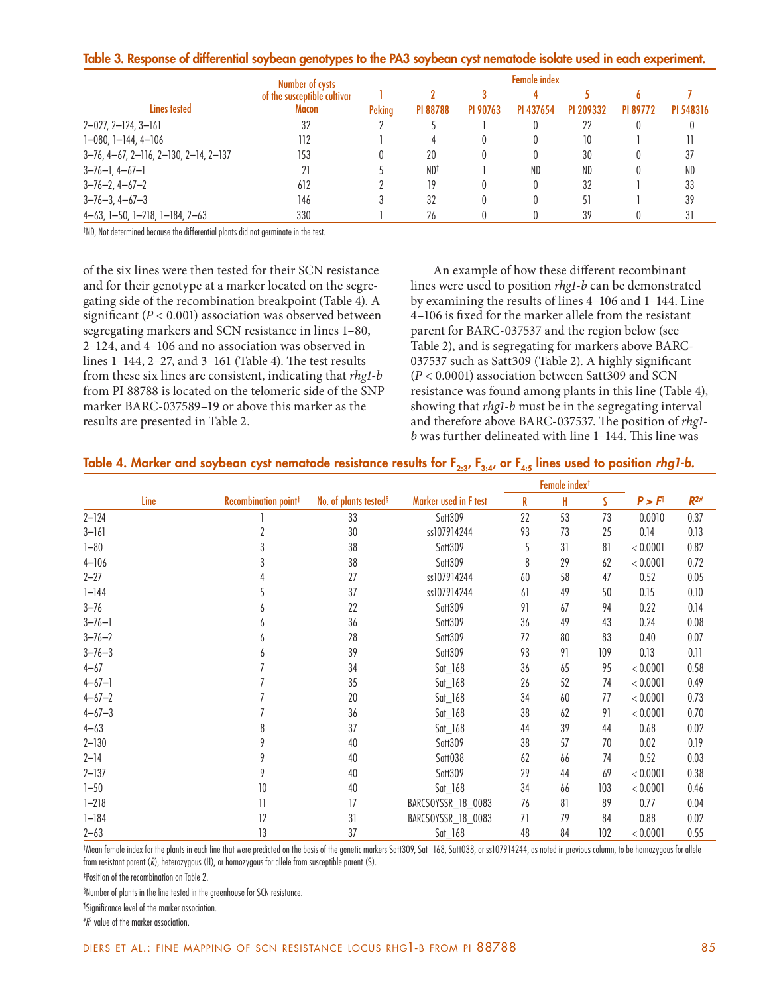#### **Table 3. Response of differential soybean genotypes to the PA3 soybean cyst nematode isolate used in each experiment.**

|                                              | Number of cysts             | <b>Female index</b> |                 |          |                  |           |          |           |  |  |  |  |  |
|----------------------------------------------|-----------------------------|---------------------|-----------------|----------|------------------|-----------|----------|-----------|--|--|--|--|--|
|                                              | of the susceptible cultivar |                     |                 |          |                  |           |          |           |  |  |  |  |  |
| Lines tested                                 | Macon                       | <b>Pekina</b>       | <b>PI 88788</b> | PI 90763 | PI 437654        | PI 209332 | PI 89772 | PI 548316 |  |  |  |  |  |
| 2-027, 2-124, 3-161                          | 32                          |                     |                 |          |                  | 22        |          |           |  |  |  |  |  |
| 1-080, 1-144, 4-106                          | 112                         |                     |                 |          |                  | 10        |          |           |  |  |  |  |  |
| 3-76, 4-67, 2-116, 2-130, 2-14, 2-137        | 153                         |                     | 20              |          | $\left( \right)$ | 30        |          | 37        |  |  |  |  |  |
| $3 - 76 - 1, 4 - 67 - 1$                     | 21                          |                     | ND <sup>†</sup> |          | ND               | ND        |          | ND        |  |  |  |  |  |
| $3 - 76 - 2$ , $4 - 67 - 2$                  | 612                         |                     | 19              |          |                  | 32        |          | 33        |  |  |  |  |  |
| $3 - 76 - 3$ , $4 - 67 - 3$                  | 146                         |                     | 32              |          |                  | 51        |          | 39        |  |  |  |  |  |
| $4-63$ , $1-50$ , $1-218$ , $1-184$ , $2-63$ | 330                         |                     | 26              |          |                  | 39        |          |           |  |  |  |  |  |

† ND, Not determined because the differential plants did not germinate in the test.

of the six lines were then tested for their SCN resistance and for their genotype at a marker located on the segregating side of the recombination breakpoint (Table 4). A significant  $(P < 0.001)$  association was observed between segregating markers and SCN resistance in lines 1–80, 2–124, and 4–106 and no association was observed in lines  $1-144$ ,  $2-27$ , and  $3-161$  (Table 4). The test results from these six lines are consistent, indicating that *rhg1-b* from PI 88788 is located on the telomeric side of the SNP marker BARC-037589–19 or above this marker as the results are presented in Table 2.

An example of how these different recombinant lines were used to position *rhg1-b* can be demonstrated by examining the results of lines 4–106 and 1–144. Line 4-106 is fixed for the marker allele from the resistant parent for BARC-037537 and the region below (see Table 2), and is segregating for markers above BARC-037537 such as Satt309 (Table 2). A highly significant (*P* < 0.0001) association between Satt309 and SCN resistance was found among plants in this line (Table 4), showing that *rhg1-b* must be in the segregating interval and therefore above BARC-037537. The position of *rhg1b* was further delineated with line 1–144. This line was

#### Table 4. Marker and soybean cyst nematode resistance results for F<sub>2:3</sub>, F<sub>3:4</sub>, or F<sub>4:5</sub> lines used to position *rhg1-b.*

|              |                                  |                                   |                       |        | Female index <sup>t</sup> |     |                    |          |  |
|--------------|----------------------------------|-----------------------------------|-----------------------|--------|---------------------------|-----|--------------------|----------|--|
| Line         | Recombination point <sup>#</sup> | No. of plants tested <sup>§</sup> | Marker used in F test | R<br>H |                           | S   | P > F <sup>1</sup> | $R^{2#}$ |  |
| $2 - 124$    |                                  | 33                                | Satt309               | 22     | 53                        | 73  | 0.0010             | 0.37     |  |
| $3 - 161$    | 2                                | 30                                | ss107914244           | 93     | 73                        | 25  | 0.14               | 0.13     |  |
| $1 - 80$     | 3                                | 38                                | Satt309               | 5      | 31                        | 81  | < 0.0001           | 0.82     |  |
| $4 - 106$    | 3                                | 38                                | Satt309               | 8      | 29                        | 62  | < 0.0001           | 0.72     |  |
| $2 - 27$     |                                  | 27                                | ss107914244           | 60     | 58                        | 47  | 0.52               | 0.05     |  |
| $1 - 144$    |                                  | 37                                | ss107914244           | 61     | 49                        | 50  | 0.15               | 0.10     |  |
| $3 - 76$     |                                  | 22                                | Satt309               | 91     | 67                        | 94  | 0.22               | 0.14     |  |
| $3 - 76 - 1$ | 6                                | 36                                | Satt309               | 36     | 49                        | 43  | 0.24               | 0.08     |  |
| $3 - 76 - 2$ | b                                | 28                                | Satt309               | 72     | 80                        | 83  | 0.40               | 0.07     |  |
| $3 - 76 - 3$ | 6                                | 39                                | Satt309               | 93     | 91                        | 109 | 0.13               | 0.11     |  |
| $4 - 67$     |                                  | 34                                | $Sat_168$             | 36     | 65                        | 95  | < 0.0001           | 0.58     |  |
| $4 - 67 - 1$ |                                  | 35                                | $Sat_168$             | 26     | 52                        | 74  | < 0.0001           | 0.49     |  |
| $4 - 67 - 2$ |                                  | 20                                | $Sat_168$             | 34     | 60                        | 77  | < 0.0001           | 0.73     |  |
| $4 - 67 - 3$ |                                  | 36                                | $Sat_168$             | 38     | 62                        | 91  | < 0.0001           | 0.70     |  |
| $4 - 63$     | 8                                | 37                                | $Sat_168$             | 44     | 39                        | 44  | 0.68               | 0.02     |  |
| $2 - 130$    |                                  | 40                                | Satt309               | 38     | 57                        | 70  | 0.02               | 0.19     |  |
| $2 - 14$     | 9                                | 40                                | Satt038               | 62     | 66                        | 74  | 0.52               | 0.03     |  |
| $2 - 137$    | 9                                | 40                                | Satt309               | 29     | 44                        | 69  | < 0.0001           | 0.38     |  |
| $1 - 50$     | 10                               | 40                                | $Sat_168$             | 34     | 66                        | 103 | < 0.0001           | 0.46     |  |
| $1 - 218$    | 11                               | 17                                | BARCSOYSSR_18_0083    | 76     | 81                        | 89  | 0.77               | 0.04     |  |
| $1 - 184$    | 12                               | 31                                | BARCSOYSSR_18_0083    | 71     | 79                        | 84  | 0.88               | 0.02     |  |
| $2 - 63$     | 13                               | 37                                | $Sat_168$             | 48     | 84                        | 102 | < 0.0001           | 0.55     |  |

† Mean female index for the plants in each line that were predicted on the basis of the genetic markers Satt309, Sat\_168, Satt038, or ss107914244, as noted in previous column, to be homozygous for allele from resistant parent (R), heterozygous (H), or homozygous for allele from susceptible parent (S).

‡ Position of the recombination on Table 2.

§ Number of plants in the line tested in the greenhouse for SCN resistance.

¶ Signifi cance level of the marker association.

# R2 value of the marker association.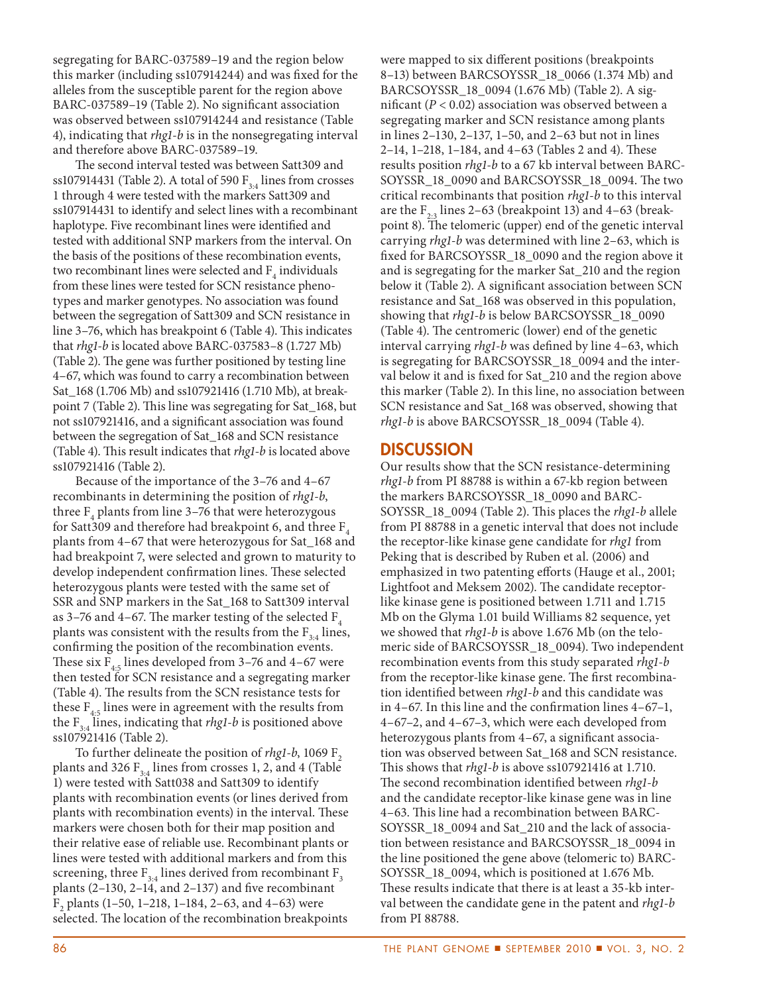segregating for BARC-037589–19 and the region below this marker (including ss107914244) and was fixed for the alleles from the susceptible parent for the region above BARC-037589–19 (Table 2). No significant association was observed between ss107914244 and resistance (Table 4), indicating that *rhg1-b* is in the nonsegregating interval and therefore above BARC-037589–19.

The second interval tested was between Satt309 and ss107914431 (Table 2). A total of 590  $F_{3,4}$  lines from crosses 1 through 4 were tested with the markers Satt309 and ss107914431 to identify and select lines with a recombinant haplotype. Five recombinant lines were identified and tested with additional SNP markers from the interval. On the basis of the positions of these recombination events, two recombinant lines were selected and  $\mathbf{F}_4$  individuals from these lines were tested for SCN resistance phenotypes and marker genotypes. No association was found between the segregation of Satt309 and SCN resistance in line 3-76, which has breakpoint 6 (Table 4). This indicates that *rhg1-b* is located above BARC-037583–8 (1.727 Mb) (Table 2). The gene was further positioned by testing line 4–67, which was found to carry a recombination between Sat\_168 (1.706 Mb) and ss107921416 (1.710 Mb), at breakpoint 7 (Table 2). This line was segregating for Sat\_168, but not ss107921416, and a significant association was found between the segregation of Sat\_168 and SCN resistance (Table 4). This result indicates that *rhg1-b* is located above ss107921416 (Table 2).

Because of the importance of the 3–76 and 4–67 recombinants in determining the position of *rhg1-b*, three  $\mathrm{F}_4$  plants from line 3–76 that were heterozygous for Satt309 and therefore had breakpoint 6, and three  $F_4$ plants from 4–67 that were heterozygous for Sat\_168 and had breakpoint 7, were selected and grown to maturity to develop independent confirmation lines. These selected heterozygous plants were tested with the same set of SSR and SNP markers in the Sat\_168 to Satt309 interval as 3–76 and 4–67. The marker testing of the selected  $F_4$ plants was consistent with the results from the  $F_{3:4}$  lines, confirming the position of the recombination events. These six  $F_{4:5}$  lines developed from 3–76 and 4–67 were then tested for SCN resistance and a segregating marker (Table 4). The results from the SCN resistance tests for these  $F_{4:5}$  lines were in agreement with the results from the  $F_{3:4}$  lines, indicating that *rhg1-b* is positioned above ss107921416 (Table 2).

To further delineate the position of *rhg1-b*, 1069 F<sub>2</sub> plants and 326  $F_{3,4}$  lines from crosses 1, 2, and 4 (Table 1) were tested with Satt038 and Satt309 to identify plants with recombination events (or lines derived from plants with recombination events) in the interval. These markers were chosen both for their map position and their relative ease of reliable use. Recombinant plants or lines were tested with additional markers and from this screening, three  $\mathrm{F}_{3:4}$  lines derived from recombinant  $\mathrm{F}_3$ plants  $(2-130, 2-14, and 2-137)$  and five recombinant  $F_2$  plants (1–50, 1–218, 1–184, 2–63, and 4–63) were selected. The location of the recombination breakpoints

were mapped to six different positions (breakpoints 8–13) between BARCSOYSSR\_18\_0066 (1.374 Mb) and BARCSOYSSR\_18\_0094 (1.676 Mb) (Table 2). A significant  $(P < 0.02)$  association was observed between a segregating marker and SCN resistance among plants in lines 2–130, 2–137, 1–50, and 2–63 but not in lines 2–14, 1–218, 1–184, and 4–63 (Tables 2 and 4). These results position *rhg1-b* to a 67 kb interval between BARC-SOYSSR\_18\_0090 and BARCSOYSSR\_18\_0094. The two critical recombinants that position *rhg1-b* to this interval are the  $F_{2,3}$  lines 2–63 (breakpoint 13) and 4–63 (breakpoint 8). The telomeric (upper) end of the genetic interval carrying *rhg1-b* was determined with line 2–63, which is fixed for BARCSOYSSR\_18\_0090 and the region above it and is segregating for the marker Sat\_210 and the region below it (Table 2). A significant association between SCN resistance and Sat\_168 was observed in this population, showing that *rhg1-b* is below BARCSOYSSR\_18\_0090 (Table 4). The centromeric (lower) end of the genetic interval carrying *rhg1-b* was defined by line 4–63, which is segregating for BARCSOYSSR\_18\_0094 and the interval below it and is fixed for Sat\_210 and the region above this marker (Table 2). In this line, no association between SCN resistance and Sat\_168 was observed, showing that *rhg1-b* is above BARCSOYSSR\_18\_0094 (Table 4).

### **DISCUSSION**

Our results show that the SCN resistance-determining *rhg1-b* from PI 88788 is within a 67-kb region between the markers BARCSOYSSR\_18\_0090 and BARC-SOYSSR\_18\_0094 (Table 2). This places the *rhg1-b* allele from PI 88788 in a genetic interval that does not include the receptor-like kinase gene candidate for *rhg1* from Peking that is described by Ruben et al. (2006) and emphasized in two patenting efforts (Hauge et al., 2001; Lightfoot and Meksem 2002). The candidate receptorlike kinase gene is positioned between 1.711 and 1.715 Mb on the Glyma 1.01 build Williams 82 sequence, yet we showed that *rhg1-b* is above 1.676 Mb (on the telomeric side of BARCSOYSSR\_18\_0094). Two independent recombination events from this study separated *rhg1-b* from the receptor-like kinase gene. The first recombination identified between *rhg1-b* and this candidate was in 4–67. In this line and the confirmation lines  $4-67-1$ , 4–67–2, and 4–67–3, which were each developed from heterozygous plants from 4-67, a significant association was observed between Sat\_168 and SCN resistance. This shows that *rhg1-b* is above ss107921416 at 1.710. The second recombination identified between *rhg1-b* and the candidate receptor-like kinase gene was in line 4-63. This line had a recombination between BARC-SOYSSR\_18\_0094 and Sat\_210 and the lack of association between resistance and BARCSOYSSR\_18\_0094 in the line positioned the gene above (telomeric to) BARC-SOYSSR\_18\_0094, which is positioned at 1.676 Mb. These results indicate that there is at least a 35-kb interval between the candidate gene in the patent and *rhg1-b* from PI 88788.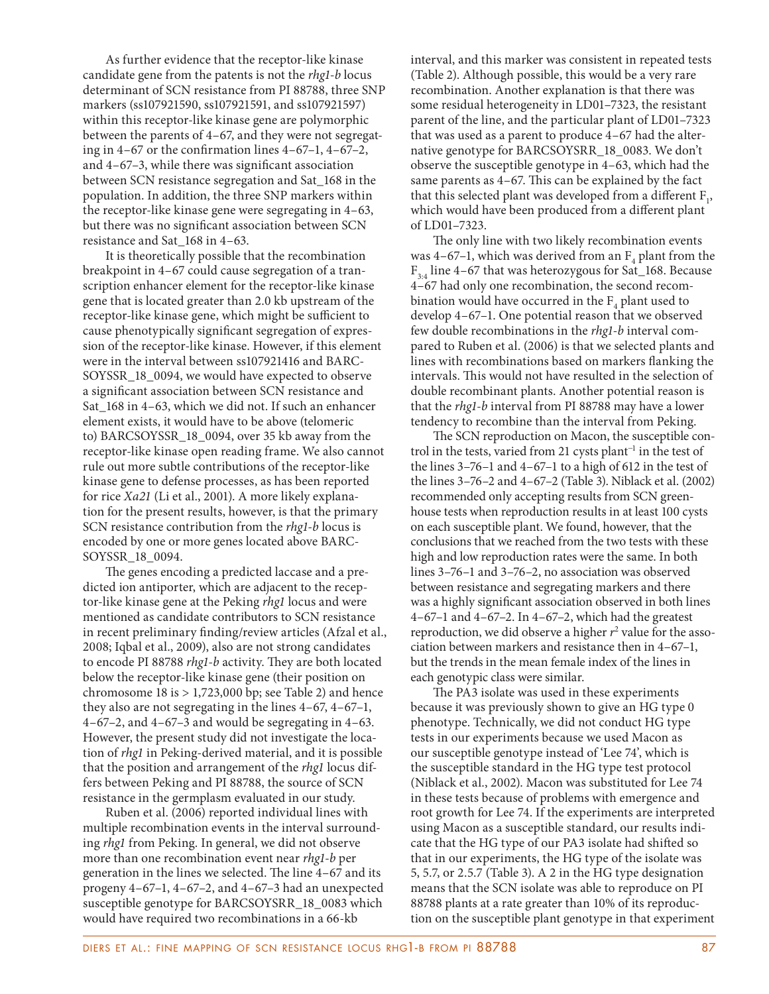As further evidence that the receptor-like kinase candidate gene from the patents is not the *rhg1-b* locus determinant of SCN resistance from PI 88788, three SNP markers (ss107921590, ss107921591, and ss107921597) within this receptor-like kinase gene are polymorphic between the parents of 4–67, and they were not segregating in  $4-67$  or the confirmation lines  $4-67-1$ ,  $4-67-2$ , and  $4-67-3$ , while there was significant association between SCN resistance segregation and Sat\_168 in the population. In addition, the three SNP markers within the receptor-like kinase gene were segregating in 4–63, but there was no significant association between SCN resistance and Sat\_168 in 4–63.

It is theoretically possible that the recombination breakpoint in 4–67 could cause segregation of a transcription enhancer element for the receptor-like kinase gene that is located greater than 2.0 kb upstream of the receptor-like kinase gene, which might be sufficient to cause phenotypically significant segregation of expression of the receptor-like kinase. However, if this element were in the interval between ss107921416 and BARC-SOYSSR\_18\_0094, we would have expected to observe a significant association between SCN resistance and Sat\_168 in 4–63, which we did not. If such an enhancer element exists, it would have to be above (telomeric to) BARCSOYSSR\_18\_0094, over 35 kb away from the receptor-like kinase open reading frame. We also cannot rule out more subtle contributions of the receptor-like kinase gene to defense processes, as has been reported for rice *Xa21* (Li et al., 2001). A more likely explanation for the present results, however, is that the primary SCN resistance contribution from the *rhg1-b* locus is encoded by one or more genes located above BARC-SOYSSR\_18\_0094.

The genes encoding a predicted laccase and a predicted ion antiporter, which are adjacent to the receptor-like kinase gene at the Peking *rhg1* locus and were mentioned as candidate contributors to SCN resistance in recent preliminary finding/review articles (Afzal et al., 2008; Iqbal et al., 2009), also are not strong candidates to encode PI 88788 *rhg1-b* activity. They are both located below the receptor-like kinase gene (their position on chromosome  $18$  is  $> 1,723,000$  bp; see Table 2) and hence they also are not segregating in the lines 4–67, 4–67–1, 4–67–2, and 4–67–3 and would be segregating in 4–63. However, the present study did not investigate the location of *rhg1* in Peking-derived material, and it is possible that the position and arrangement of the *rhg1* locus differs between Peking and PI 88788, the source of SCN resistance in the germplasm evaluated in our study.

Ruben et al. (2006) reported individual lines with multiple recombination events in the interval surrounding *rhg1* from Peking. In general, we did not observe more than one recombination event near *rhg1-b* per generation in the lines we selected. The line 4–67 and its progeny 4–67–1, 4–67–2, and 4–67–3 had an unexpected susceptible genotype for BARCSOYSRR\_18\_0083 which would have required two recombinations in a 66-kb

interval, and this marker was consistent in repeated tests (Table 2). Although possible, this would be a very rare recombination. Another explanation is that there was some residual heterogeneity in LD01–7323, the resistant parent of the line, and the particular plant of LD01–7323 that was used as a parent to produce 4–67 had the alternative genotype for BARCSOYSRR\_18\_0083. We don't observe the susceptible genotype in 4–63, which had the same parents as  $4-67$ . This can be explained by the fact that this selected plant was developed from a different  $F_1$ , which would have been produced from a different plant of LD01–7323.

The only line with two likely recombination events was 4–67–1, which was derived from an  $F_4$  plant from the  $F_{3,4}$  line 4–67 that was heterozygous for Sat\_168. Because 4–67 had only one recombination, the second recombination would have occurred in the  $\mathrm{F}_4$  plant used to develop 4–67–1. One potential reason that we observed few double recombinations in the *rhg1-b* interval compared to Ruben et al. (2006) is that we selected plants and lines with recombinations based on markers flanking the intervals. This would not have resulted in the selection of double recombinant plants. Another potential reason is that the *rhg1-b* interval from PI 88788 may have a lower tendency to recombine than the interval from Peking.

The SCN reproduction on Macon, the susceptible control in the tests, varied from 21 cysts plant<sup>-1</sup> in the test of the lines 3–76–1 and 4–67–1 to a high of 612 in the test of the lines 3–76–2 and 4–67–2 (Table 3). Niblack et al. (2002) recommended only accepting results from SCN greenhouse tests when reproduction results in at least 100 cysts on each susceptible plant. We found, however, that the conclusions that we reached from the two tests with these high and low reproduction rates were the same. In both lines 3–76–1 and 3–76–2, no association was observed between resistance and segregating markers and there was a highly significant association observed in both lines 4–67–1 and 4–67–2. In 4–67–2, which had the greatest reproduction, we did observe a higher  $r^2$  value for the association between markers and resistance then in 4–67–1, but the trends in the mean female index of the lines in each genotypic class were similar.

The PA3 isolate was used in these experiments because it was previously shown to give an HG type 0 phenotype. Technically, we did not conduct HG type tests in our experiments because we used Macon as our susceptible genotype instead of 'Lee 74', which is the susceptible standard in the HG type test protocol (Niblack et al., 2002). Macon was substituted for Lee 74 in these tests because of problems with emergence and root growth for Lee 74. If the experiments are interpreted using Macon as a susceptible standard, our results indicate that the HG type of our PA3 isolate had shifted so that in our experiments, the HG type of the isolate was 5, 5.7, or 2.5.7 (Table 3). A 2 in the HG type designation means that the SCN isolate was able to reproduce on PI 88788 plants at a rate greater than 10% of its reproduction on the susceptible plant genotype in that experiment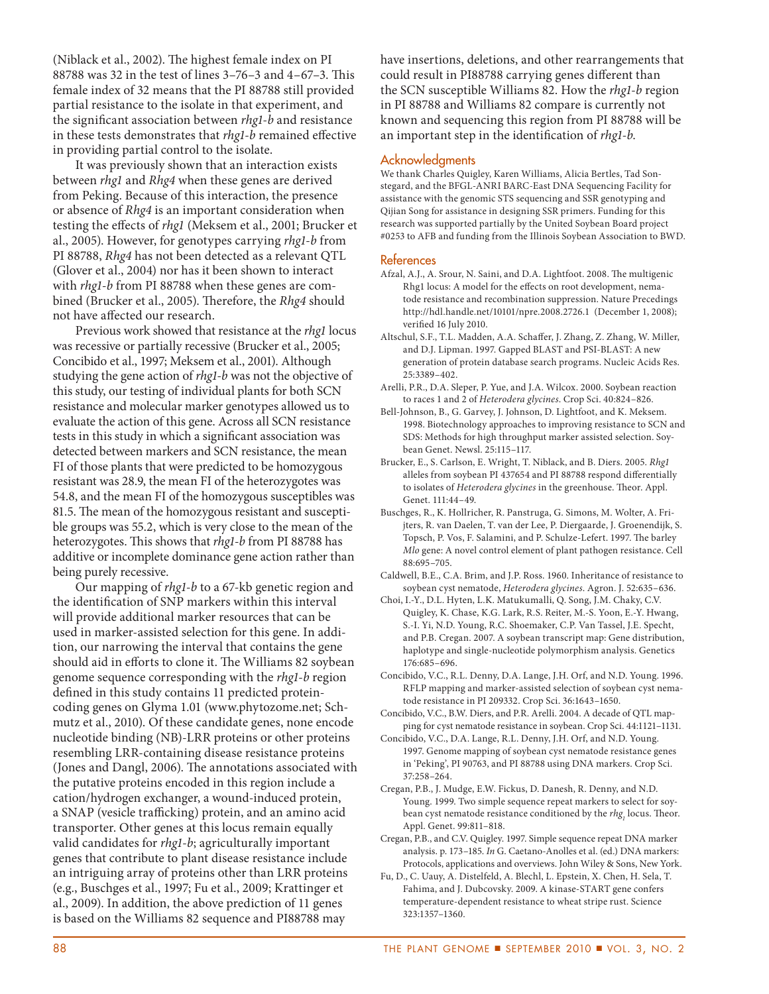(Niblack et al., 2002). The highest female index on PI 88788 was 32 in the test of lines 3-76-3 and 4-67-3. This female index of 32 means that the PI 88788 still provided partial resistance to the isolate in that experiment, and the significant association between *rhg1-b* and resistance in these tests demonstrates that *rhg1-b* remained effective in providing partial control to the isolate.

It was previously shown that an interaction exists between *rhg1* and *Rhg4* when these genes are derived from Peking. Because of this interaction, the presence or absence of *Rhg4* is an important consideration when testing the effects of *rhg1* (Meksem et al., 2001; Brucker et al., 2005). However, for genotypes carrying *rhg1-b* from PI 88788, *Rhg4* has not been detected as a relevant QTL (Glover et al., 2004) nor has it been shown to interact with *rhg1-b* from PI 88788 when these genes are combined (Brucker et al., 2005). Therefore, the *Rhg4* should not have affected our research.

Previous work showed that resistance at the *rhg1* locus was recessive or partially recessive (Brucker et al., 2005; Concibido et al., 1997; Meksem et al., 2001). Although studying the gene action of *rhg1-b* was not the objective of this study, our testing of individual plants for both SCN resistance and molecular marker genotypes allowed us to evaluate the action of this gene. Across all SCN resistance tests in this study in which a significant association was detected between markers and SCN resistance, the mean FI of those plants that were predicted to be homozygous resistant was 28.9, the mean FI of the heterozygotes was 54.8, and the mean FI of the homozygous susceptibles was 81.5. The mean of the homozygous resistant and susceptible groups was 55.2, which is very close to the mean of the heterozygotes. This shows that *rhg1-b* from PI 88788 has additive or incomplete dominance gene action rather than being purely recessive.

Our mapping of *rhg1-b* to a 67-kb genetic region and the identification of SNP markers within this interval will provide additional marker resources that can be used in marker-assisted selection for this gene. In addition, our narrowing the interval that contains the gene should aid in efforts to clone it. The Williams 82 soybean genome sequence corresponding with the *rhg1-b* region defined in this study contains 11 predicted proteincoding genes on Glyma 1.01 (www.phytozome.net; Schmutz et al., 2010). Of these candidate genes, none encode nucleotide binding (NB)-LRR proteins or other proteins resembling LRR-containing disease resistance proteins (Jones and Dangl, 2006). The annotations associated with the putative proteins encoded in this region include a cation/hydrogen exchanger, a wound-induced protein, a SNAP (vesicle trafficking) protein, and an amino acid transporter. Other genes at this locus remain equally valid candidates for *rhg1-b*; agriculturally important genes that contribute to plant disease resistance include an intriguing array of proteins other than LRR proteins (e.g., Buschges et al., 1997; Fu et al., 2009; Krattinger et al., 2009). In addition, the above prediction of 11 genes is based on the Williams 82 sequence and PI88788 may

have insertions, deletions, and other rearrangements that could result in PI88788 carrying genes different than the SCN susceptible Williams 82. How the *rhg1-b* region in PI 88788 and Williams 82 compare is currently not known and sequencing this region from PI 88788 will be an important step in the identification of *rhg1-b*.

#### Acknowledgments

We thank Charles Quigley, Karen Williams, Alicia Bertles, Tad Sonstegard, and the BFGL-ANRI BARC-East DNA Sequencing Facility for assistance with the genomic STS sequencing and SSR genotyping and Qijian Song for assistance in designing SSR primers. Funding for this research was supported partially by the United Soybean Board project #0253 to AFB and funding from the Illinois Soybean Association to BWD.

#### References

- Afzal, A.J., A. Srour, N. Saini, and D.A. Lightfoot. 2008. The multigenic Rhg1 locus: A model for the effects on root development, nematode resistance and recombination suppression. Nature Precedings http://hdl.handle.net/10101/npre.2008.2726.1 (December 1, 2008); verified 16 July 2010.
- Altschul, S.F., T.L. Madden, A.A. Schaffer, J. Zhang, Z. Zhang, W. Miller, and D.J. Lipman. 1997. Gapped BLAST and PSI-BLAST: A new generation of protein database search programs. Nucleic Acids Res. 25:3389–402.
- Arelli, P.R., D.A. Sleper, P. Yue, and J.A. Wilcox. 2000. Soybean reaction to races 1 and 2 of *Heterodera glycines*. Crop Sci. 40:824–826.
- Bell-Johnson, B., G. Garvey, J. Johnson, D. Lightfoot, and K. Meksem. 1998. Biotechnology approaches to improving resistance to SCN and SDS: Methods for high throughput marker assisted selection. Soybean Genet. Newsl. 25:115–117.
- Brucker, E., S. Carlson, E. Wright, T. Niblack, and B. Diers. 2005. *Rhg1* alleles from soybean PI 437654 and PI 88788 respond differentially to isolates of *Heterodera glycines* in the greenhouse. Theor. Appl. Genet. 111:44–49.
- Buschges, R., K. Hollricher, R. Panstruga, G. Simons, M. Wolter, A. Frijters, R. van Daelen, T. van der Lee, P. Diergaarde, J. Groenendijk, S. Topsch, P. Vos, F. Salamini, and P. Schulze-Lefert. 1997. The barley *Mlo* gene: A novel control element of plant pathogen resistance. Cell 88:695–705.
- Caldwell, B.E., C.A. Brim, and J.P. Ross. 1960. Inheritance of resistance to soybean cyst nematode, *Heterodera glycines*. Agron. J. 52:635–636.
- Choi, I.-Y., D.L. Hyten, L.K. Matukumalli, Q. Song, J.M. Chaky, C.V. Quigley, K. Chase, K.G. Lark, R.S. Reiter, M.-S. Yoon, E.-Y. Hwang, S.-I. Yi, N.D. Young, R.C. Shoemaker, C.P. Van Tassel, J.E. Specht, and P.B. Cregan. 2007. A soybean transcript map: Gene distribution, haplotype and single-nucleotide polymorphism analysis. Genetics 176:685–696.
- Concibido, V.C., R.L. Denny, D.A. Lange, J.H. Orf, and N.D. Young. 1996. RFLP mapping and marker-assisted selection of soybean cyst nematode resistance in PI 209332. Crop Sci. 36:1643–1650.
- Concibido, V.C., B.W. Diers, and P.R. Arelli. 2004. A decade of QTL mapping for cyst nematode resistance in soybean. Crop Sci. 44:1121–1131.
- Concibido, V.C., D.A. Lange, R.L. Denny, J.H. Orf, and N.D. Young. 1997. Genome mapping of soybean cyst nematode resistance genes in 'Peking', PI 90763, and PI 88788 using DNA markers. Crop Sci. 37:258–264.
- Cregan, P.B., J. Mudge, E.W. Fickus, D. Danesh, R. Denny, and N.D. Young. 1999. Two simple sequence repeat markers to select for soybean cyst nematode resistance conditioned by the *rhg<sub>1</sub>* locus. Theor. Appl. Genet. 99:811–818.
- Cregan, P.B., and C.V. Quigley. 1997. Simple sequence repeat DNA marker analysis. p. 173–185. *In* G. Caetano-Anolles et al. (ed.) DNA markers: Protocols, applications and overviews. John Wiley & Sons, New York.
- Fu, D., C. Uauy, A. Distelfeld, A. Blechl, L. Epstein, X. Chen, H. Sela, T. Fahima, and J. Dubcovsky. 2009. A kinase-START gene confers temperature-dependent resistance to wheat stripe rust. Science 323:1357–1360.